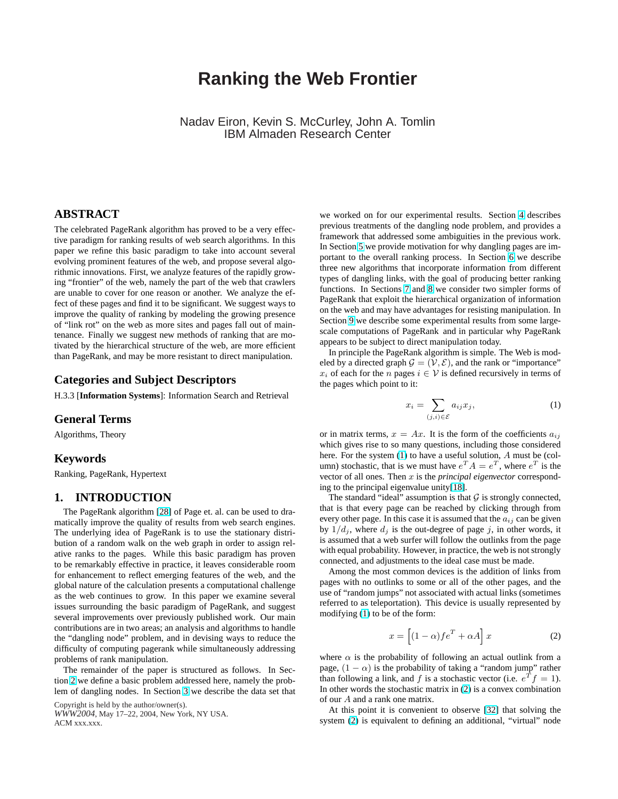# <span id="page-0-0"></span>**Ranking the Web Frontier**

Nadav Eiron, Kevin S. McCurley, John A. Tomlin IBM Almaden Research Center

# **ABSTRACT**

The celebrated PageRank algorithm has proved to be a very effective paradigm for ranking results of web search algorithms. In this paper we refine this basic paradigm to take into account several evolving prominent features of the web, and propose several algorithmic innovations. First, we analyze features of the rapidly growing "frontier" of the web, namely the part of the web that crawlers are unable to cover for one reason or another. We analyze the effect of these pages and find it to be significant. We suggest ways to improve the quality of ranking by modeling the growing presence of "link rot" on the web as more sites and pages fall out of maintenance. Finally we suggest new methods of ranking that are motivated by the hierarchical structure of the web, are more efficient than PageRank, and may be more resistant to direct manipulation.

# **Categories and Subject Descriptors**

H.3.3 [**Information Systems**]: Information Search and Retrieval

#### **General Terms**

Algorithms, Theory

#### **Keywords**

Ranking, PageRank, Hypertext

## **1. INTRODUCTION**

The PageRank algorithm [\[28\]](#page-9-0) of Page et. al. can be used to dramatically improve the quality of results from web search engines. The underlying idea of PageRank is to use the stationary distribution of a random walk on the web graph in order to assign relative ranks to the pages. While this basic paradigm has proven to be remarkably effective in practice, it leaves considerable room for enhancement to reflect emerging features of the web, and the global nature of the calculation presents a computational challenge as the web continues to grow. In this paper we examine several issues surrounding the basic paradigm of PageRank, and suggest several improvements over previously published work. Our main contributions are in two areas; an analysis and algorithms to handle the "dangling node" problem, and in devising ways to reduce the difficulty of computing pagerank while simultaneously addressing problems of rank manipulation.

The remainder of the paper is structured as follows. In Section [2](#page-1-0) we define a basic problem addressed here, namely the problem of dangling nodes. In Section [3](#page-2-0) we describe the data set that

Copyright is held by the author/owner(s).

*WWW2004*, May 17–22, 2004, New York, NY USA.  $ACM$  xxx.xx

we worked on for our experimental results. Section [4](#page-2-0) describes previous treatments of the dangling node problem, and provides a framework that addressed some ambiguities in the previous work. In Section [5](#page-3-0) we provide motivation for why dangling pages are important to the overall ranking process. In Section [6](#page-4-0) we describe three new algorithms that incorporate information from different types of dangling links, with the goal of producing better ranking functions. In Sections [7](#page-6-0) and [8](#page-7-0) we consider two simpler forms of PageRank that exploit the hierarchical organization of information on the web and may have advantages for resisting manipulation. In Section [9](#page-7-0) we describe some experimental results from some largescale computations of PageRank and in particular why PageRank appears to be subject to direct manipulation today.

In principle the PageRank algorithm is simple. The Web is modeled by a directed graph  $\mathcal{G} = (\mathcal{V}, \mathcal{E})$ , and the rank or "importance"  $x_i$  of each for the n pages  $i \in V$  is defined recursively in terms of the pages which point to it:

$$
x_i = \sum_{(j,i) \in \mathcal{E}} a_{ij} x_j,\tag{1}
$$

or in matrix terms,  $x = Ax$ . It is the form of the coefficients  $a_{ij}$ which gives rise to so many questions, including those considered here. For the system (1) to have a useful solution, A must be (column) stochastic, that is we must have  $e^T A = e^T$ , where  $e^T$  is the vector of all ones. Then x is the *principal eigenvector* corresponding to the principal eigenvalue unity[\[18\]](#page-9-0).

The standard "ideal" assumption is that  $G$  is strongly connected, that is that every page can be reached by clicking through from every other page. In this case it is assumed that the  $a_{ij}$  can be given by  $1/d_i$ , where  $d_i$  is the out-degree of page j, in other words, it is assumed that a web surfer will follow the outlinks from the page with equal probability. However, in practice, the web is not strongly connected, and adjustments to the ideal case must be made.

Among the most common devices is the addition of links from pages with no outlinks to some or all of the other pages, and the use of "random jumps" not associated with actual links (sometimes referred to as teleportation). This device is usually represented by modifying (1) to be of the form:

$$
x = \left[ (1 - \alpha) f e^T + \alpha A \right] x \tag{2}
$$

where  $\alpha$  is the probability of following an actual outlink from a page,  $(1 - \alpha)$  is the probability of taking a "random jump" rather than following a link, and f is a stochastic vector (i.e.  $e^T f = 1$ ). In other words the stochastic matrix in (2) is a convex combination of our A and a rank one matrix.

At this point it is convenient to observe [\[32\]](#page-9-0) that solving the system (2) is equivalent to defining an additional, "virtual" node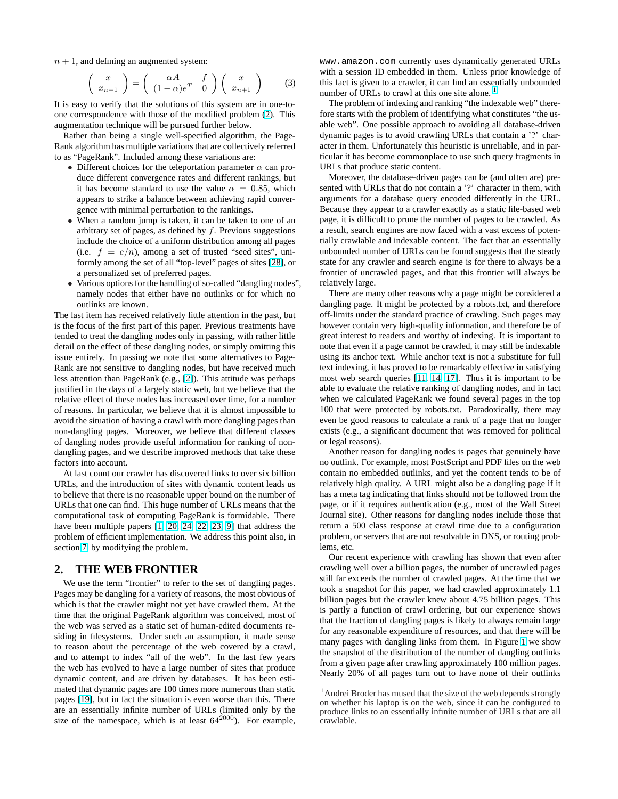<span id="page-1-0"></span> $n + 1$ , and defining an augmented system:

$$
\begin{pmatrix} x \\ x_{n+1} \end{pmatrix} = \begin{pmatrix} \alpha A & f \\ (1-\alpha)e^T & 0 \end{pmatrix} \begin{pmatrix} x \\ x_{n+1} \end{pmatrix}
$$
 (3)

It is easy to verify that the solutions of this system are in one-toone correspondence with those of the modified problem [\(2\)](#page-0-0). This augmentation technique will be pursued further below.

Rather than being a single well-specified algorithm, the Page-Rank algorithm has multiple variations that are collectively referred to as "PageRank". Included among these variations are:

- Different choices for the teleportation parameter  $\alpha$  can produce different convergence rates and different rankings, but it has become standard to use the value  $\alpha = 0.85$ , which appears to strike a balance between achieving rapid convergence with minimal perturbation to the rankings.
- When a random jump is taken, it can be taken to one of an arbitrary set of pages, as defined by  $f$ . Previous suggestions include the choice of a uniform distribution among all pages (i.e.  $f = e/n$ ), among a set of trusted "seed sites", uniformly among the set of all "top-level" pages of sites [\[28\]](#page-9-0), or a personalized set of preferred pages.
- Various options for the handling of so-called "dangling nodes", namely nodes that either have no outlinks or for which no outlinks are known.

The last item has received relatively little attention in the past, but is the focus of the first part of this paper. Previous treatments have tended to treat the dangling nodes only in passing, with rather little detail on the effect of these dangling nodes, or simply omitting this issue entirely. In passing we note that some alternatives to Page-Rank are not sensitive to dangling nodes, but have received much less attention than PageRank (e.g., [\[2\]](#page-9-0)). This attitude was perhaps justified in the days of a largely static web, but we believe that the relative effect of these nodes has increased over time, for a number of reasons. In particular, we believe that it is almost impossible to avoid the situation of having a crawl with more dangling pages than non-dangling pages. Moreover, we believe that different classes of dangling nodes provide useful information for ranking of nondangling pages, and we describe improved methods that take these factors into account.

At last count our crawler has discovered links to over six billion URLs, and the introduction of sites with dynamic content leads us to believe that there is no reasonable upper bound on the number of URLs that one can find. This huge number of URLs means that the computational task of computing PageRank is formidable. There have been multiple papers [\[1,](#page-9-0) [20,](#page-9-0) [24,](#page-9-0) [22,](#page-9-0) [23,](#page-9-0) [9\]](#page-9-0) that address the problem of efficient implementation. We address this point also, in section [7,](#page-6-0) by modifying the problem.

#### **2. THE WEB FRONTIER**

We use the term "frontier" to refer to the set of dangling pages. Pages may be dangling for a variety of reasons, the most obvious of which is that the crawler might not yet have crawled them. At the time that the original PageRank algorithm was conceived, most of the web was served as a static set of human-edited documents residing in filesystems. Under such an assumption, it made sense to reason about the percentage of the web covered by a crawl, and to attempt to index "all of the web". In the last few years the web has evolved to have a large number of sites that produce dynamic content, and are driven by databases. It has been estimated that dynamic pages are 100 times more numerous than static pages [\[19\]](#page-9-0), but in fact the situation is even worse than this. There are an essentially infinite number of URLs (limited only by the size of the namespace, which is at least  $64^{2000}$ ). For example,

www.amazon.com currently uses dynamically generated URLs with a session ID embedded in them. Unless prior knowledge of this fact is given to a crawler, it can find an essentially unbounded number of URLs to crawl at this one site alone.  $<sup>1</sup>$ </sup>

The problem of indexing and ranking "the indexable web" therefore starts with the problem of identifying what constitutes "the usable web". One possible approach to avoiding all database-driven dynamic pages is to avoid crawling URLs that contain a '?' character in them. Unfortunately this heuristic is unreliable, and in particular it has become commonplace to use such query fragments in URLs that produce static content.

Moreover, the database-driven pages can be (and often are) presented with URLs that do not contain a '?' character in them, with arguments for a database query encoded differently in the URL. Because they appear to a crawler exactly as a static file-based web page, it is difficult to prune the number of pages to be crawled. As a result, search engines are now faced with a vast excess of potentially crawlable and indexable content. The fact that an essentially unbounded number of URLs can be found suggests that the steady state for any crawler and search engine is for there to always be a frontier of uncrawled pages, and that this frontier will always be relatively large.

There are many other reasons why a page might be considered a dangling page. It might be protected by a robots.txt, and therefore off-limits under the standard practice of crawling. Such pages may however contain very high-quality information, and therefore be of great interest to readers and worthy of indexing. It is important to note that even if a page cannot be crawled, it may still be indexable using its anchor text. While anchor text is not a substitute for full text indexing, it has proved to be remarkably effective in satisfying most web search queries [\[11,](#page-9-0) [14,](#page-9-0) [17\]](#page-9-0). Thus it is important to be able to evaluate the relative ranking of dangling nodes, and in fact when we calculated PageRank we found several pages in the top 100 that were protected by robots.txt. Paradoxically, there may even be good reasons to calculate a rank of a page that no longer exists (e.g., a significant document that was removed for political or legal reasons).

Another reason for dangling nodes is pages that genuinely have no outlink. For example, most PostScript and PDF files on the web contain no embedded outlinks, and yet the content tends to be of relatively high quality. A URL might also be a dangling page if it has a meta tag indicating that links should not be followed from the page, or if it requires authentication (e.g., most of the Wall Street Journal site). Other reasons for dangling nodes include those that return a 500 class response at crawl time due to a configuration problem, or servers that are not resolvable in DNS, or routing problems, etc.

Our recent experience with crawling has shown that even after crawling well over a billion pages, the number of uncrawled pages still far exceeds the number of crawled pages. At the time that we took a snapshot for this paper, we had crawled approximately 1.1 billion pages but the crawler knew about 4.75 billion pages. This is partly a function of crawl ordering, but our experience shows that the fraction of dangling pages is likely to always remain large for any reasonable expenditure of resources, and that there will be many pages with dangling links from them. In Figure [1](#page-2-0) we show the snapshot of the distribution of the number of dangling outlinks from a given page after crawling approximately 100 million pages. Nearly 20% of all pages turn out to have none of their outlinks

<sup>&</sup>lt;sup>1</sup> Andrei Broder has mused that the size of the web depends strongly on whether his laptop is on the web, since it can be configured to produce links to an essentially infinite number of URLs that are all crawlable.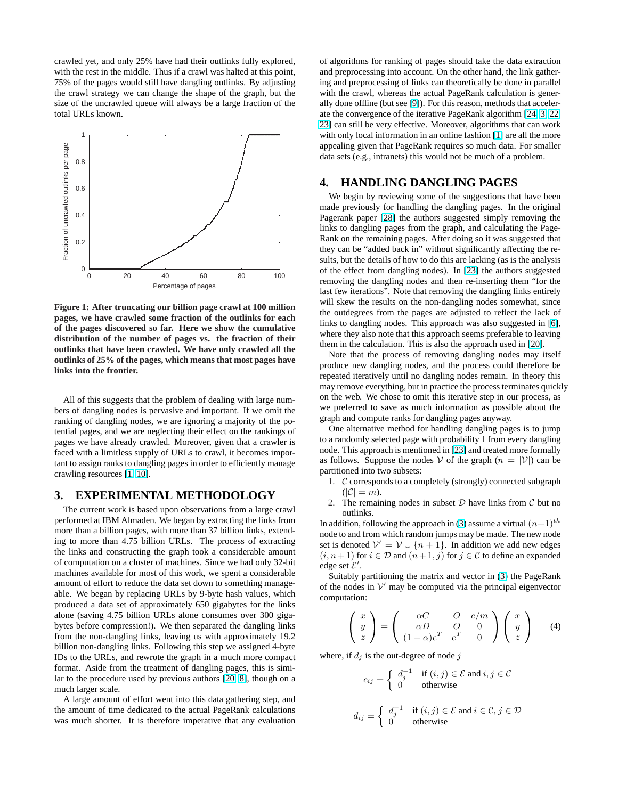<span id="page-2-0"></span>crawled yet, and only 25% have had their outlinks fully explored, with the rest in the middle. Thus if a crawl was halted at this point, 75% of the pages would still have dangling outlinks. By adjusting the crawl strategy we can change the shape of the graph, but the size of the uncrawled queue will always be a large fraction of the total URLs known.



**Figure 1: After truncating our billion page crawl at 100 million pages, we have crawled some fraction of the outlinks for each of the pages discovered so far. Here we show the cumulative distribution of the number of pages vs. the fraction of their outlinks that have been crawled. We have only crawled all the outlinks of 25% of the pages, which means that most pages have links into the frontier.**

All of this suggests that the problem of dealing with large numbers of dangling nodes is pervasive and important. If we omit the ranking of dangling nodes, we are ignoring a majority of the potential pages, and we are neglecting their effect on the rankings of pages we have already crawled. Moreover, given that a crawler is faced with a limitless supply of URLs to crawl, it becomes important to assign ranks to dangling pages in order to efficiently manage crawling resources [\[1,](#page-9-0) [10\]](#page-9-0).

#### **3. EXPERIMENTAL METHODOLOGY**

The current work is based upon observations from a large crawl performed at IBM Almaden. We began by extracting the links from more than a billion pages, with more than 37 billion links, extending to more than 4.75 billion URLs. The process of extracting the links and constructing the graph took a considerable amount of computation on a cluster of machines. Since we had only 32-bit machines available for most of this work, we spent a considerable amount of effort to reduce the data set down to something manageable. We began by replacing URLs by 9-byte hash values, which produced a data set of approximately 650 gigabytes for the links alone (saving 4.75 billion URLs alone consumes over 300 gigabytes before compression!). We then separated the dangling links from the non-dangling links, leaving us with approximately 19.2 billion non-dangling links. Following this step we assigned 4-byte IDs to the URLs, and rewrote the graph in a much more compact format. Aside from the treatment of dangling pages, this is similar to the procedure used by previous authors [\[20,](#page-9-0) [8\]](#page-9-0), though on a much larger scale.

A large amount of effort went into this data gathering step, and the amount of time dedicated to the actual PageRank calculations was much shorter. It is therefore imperative that any evaluation

of algorithms for ranking of pages should take the data extraction and preprocessing into account. On the other hand, the link gathering and preprocessing of links can theoretically be done in parallel with the crawl, whereas the actual PageRank calculation is generally done offline (but see [\[9\]](#page-9-0)). For this reason, methods that accelerate the convergence of the iterative PageRank algorithm [\[24,](#page-9-0) [3,](#page-9-0) [22,](#page-9-0) [23\]](#page-9-0) can still be very effective. Moreover, algorithms that can work with only local information in an online fashion [\[1\]](#page-9-0) are all the more appealing given that PageRank requires so much data. For smaller data sets (e.g., intranets) this would not be much of a problem.

# **4. HANDLING DANGLING PAGES**

We begin by reviewing some of the suggestions that have been made previously for handling the dangling pages. In the original Pagerank paper [\[28\]](#page-9-0) the authors suggested simply removing the links to dangling pages from the graph, and calculating the Page-Rank on the remaining pages. After doing so it was suggested that they can be "added back in" without significantly affecting the results, but the details of how to do this are lacking (as is the analysis of the effect from dangling nodes). In [\[23\]](#page-9-0) the authors suggested removing the dangling nodes and then re-inserting them "for the last few iterations". Note that removing the dangling links entirely will skew the results on the non-dangling nodes somewhat, since the outdegrees from the pages are adjusted to reflect the lack of links to dangling nodes. This approach was also suggested in [\[6\]](#page-9-0), where they also note that this approach seems preferable to leaving them in the calculation. This is also the approach used in [\[20\]](#page-9-0).

Note that the process of removing dangling nodes may itself produce new dangling nodes, and the process could therefore be repeated iteratively until no dangling nodes remain. In theory this may remove everything, but in practice the process terminates quickly on the web. We chose to omit this iterative step in our process, as we preferred to save as much information as possible about the graph and compute ranks for dangling pages anyway.

One alternative method for handling dangling pages is to jump to a randomly selected page with probability 1 from every dangling node. This approach is mentioned in [\[23\]](#page-9-0) and treated more formally as follows. Suppose the nodes V of the graph  $(n = |\mathcal{V}|)$  can be partitioned into two subsets:

- 1. C corresponds to a completely (strongly) connected subgraph  $(|\mathcal{C}| = m).$
- 2. The remaining nodes in subset  $D$  have links from  $C$  but no outlinks.

In addition, following the approach in [\(3\)](#page-1-0) assume a virtual  $(n+1)^{th}$ node to and from which random jumps may be made. The new node set is denoted  $V' = V \cup \{n+1\}$ . In addition we add new edges  $(i, n+1)$  for  $i \in \mathcal{D}$  and  $(n+1, j)$  for  $j \in \mathcal{C}$  to define an expanded edge set  $\mathcal{E}'$ .

Suitably partitioning the matrix and vector in [\(3\)](#page-1-0) the PageRank of the nodes in  $V'$  may be computed via the principal eigenvector computation:

$$
\begin{pmatrix} x \\ y \\ z \end{pmatrix} = \begin{pmatrix} \alpha C & O & e/m \\ \alpha D & O & 0 \\ (1 - \alpha)e^T & e^T & 0 \end{pmatrix} \begin{pmatrix} x \\ y \\ z \end{pmatrix}
$$
 (4)

where, if  $d_i$  is the out-degree of node j

$$
c_{ij} = \begin{cases} d_j^{-1} & \text{if } (i,j) \in \mathcal{E} \text{ and } i, j \in \mathcal{C} \\ 0 & \text{otherwise} \end{cases}
$$

$$
d_{ij} = \begin{cases} d_j^{-1} & \text{if } (i,j) \in \mathcal{E} \text{ and } i \in \mathcal{C}, j \in \mathcal{D} \\ 0 & \text{otherwise} \end{cases}
$$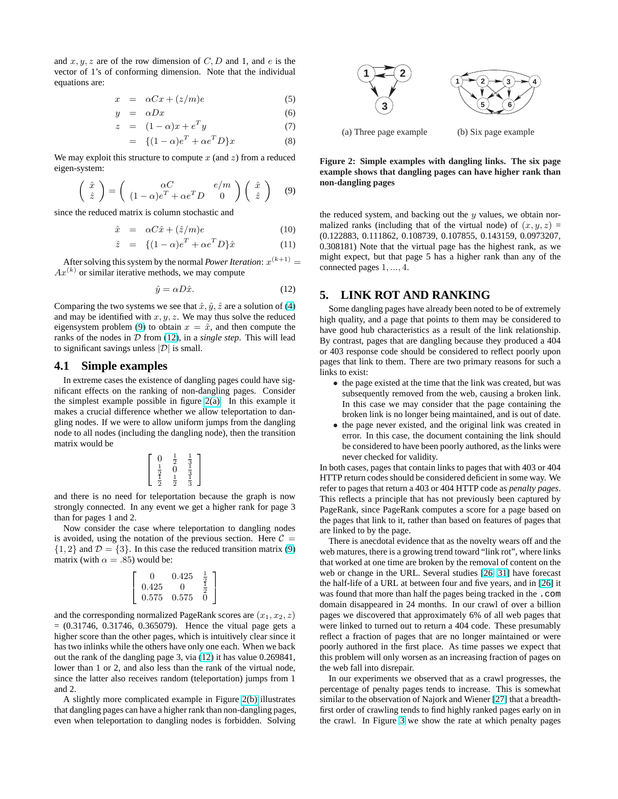<span id="page-3-0"></span>and  $x, y, z$  are of the row dimension of  $C, D$  and 1, and e is the vector of 1's of conforming dimension. Note that the individual equations are:

$$
x = \alpha C x + (z/m)e \tag{5}
$$

$$
y = \alpha Dx \tag{6}
$$

$$
z = (1 - \alpha)x + e^T y \tag{7}
$$

$$
= \{ (1 - \alpha)e^T + \alpha e^T D \} x \tag{8}
$$

We may exploit this structure to compute  $x$  (and  $z$ ) from a reduced eigen-system:

$$
\begin{pmatrix}\n\hat{x} \\
\hat{z}\n\end{pmatrix} = \begin{pmatrix}\n\alpha C & e/m \\
(1 - \alpha)e^T + \alpha e^T D & 0\n\end{pmatrix} \begin{pmatrix}\n\hat{x} \\
\hat{z}\n\end{pmatrix} (9)
$$

since the reduced matrix is column stochastic and

$$
\hat{x} = \alpha C \hat{x} + (\hat{z}/m)e \tag{10}
$$

$$
\hat{z} = \{ (1 - \alpha)e^T + \alpha e^T D \} \hat{x} \tag{11}
$$

After solving this system by the normal *Power Iteration*:  $x^{(k+1)} =$  $Ax^{(k)}$  or similar iterative methods, we may compute

$$
\hat{y} = \alpha D \hat{x}.\tag{12}
$$

Comparing the two systems we see that  $\hat{x}, \hat{y}, \hat{z}$  are a solution of [\(4\)](#page-2-0) and may be identified with  $x, y, z$ . We may thus solve the reduced eigensystem problem (9) to obtain  $x = \hat{x}$ , and then compute the ranks of the nodes in  $D$  from (12), in a *single step*. This will lead to significant savings unless  $|\mathcal{D}|$  is small.

#### **4.1 Simple examples**

In extreme cases the existence of dangling pages could have significant effects on the ranking of non-dangling pages. Consider the simplest example possible in figure 2(a). In this example it makes a crucial difference whether we allow teleportation to dangling nodes. If we were to allow uniform jumps from the dangling node to all nodes (including the dangling node), then the transition matrix would be

$$
\left[\begin{array}{ccc} 0 & \frac{1}{2} & \frac{1}{3} \\ \frac{1}{2} & 0 & \frac{1}{3} \\ \frac{1}{2} & \frac{1}{2} & \frac{1}{3} \end{array}\right]
$$

and there is no need for teleportation because the graph is now strongly connected. In any event we get a higher rank for page 3 than for pages 1 and 2.

Now consider the case where teleportation to dangling nodes is avoided, using the notation of the previous section. Here  $C =$  ${1, 2}$  and  $\mathcal{D} = {3}$ . In this case the reduced transition matrix (9) matrix (with  $\alpha = .85$ ) would be:

$$
\left[\begin{array}{ccc}0&0.425&\frac{1}{2}\\0.425&0&\frac{1}{2}\\0.575&0.575&0\end{array}\right]
$$

and the corresponding normalized PageRank scores are  $(x_1, x_2, z)$  $= (0.31746, 0.31746, 0.365079)$ . Hence the vitual page gets a higher score than the other pages, which is intuitively clear since it has two inlinks while the others have only one each. When we back out the rank of the dangling page 3, via (12) it has value 0.269841, lower than 1 or 2, and also less than the rank of the virtual node, since the latter also receives random (teleportation) jumps from 1 and 2.

A slightly more complicated example in Figure 2(b) illustrates that dangling pages can have a higher rank than non-dangling pages, even when teleportation to dangling nodes is forbidden. Solving



**Figure 2: Simple examples with dangling links. The six page example shows that dangling pages can have higher rank than non-dangling pages**

the reduced system, and backing out the  $y$  values, we obtain normalized ranks (including that of the virtual node) of  $(x, y, z) =$ (0.122883, 0.111862, 0.108739, 0.107855, 0.143159, 0.0973207, 0.308181) Note that the virtual page has the highest rank, as we might expect, but that page 5 has a higher rank than any of the connected pages 1, ..., 4.

# **5. LINK ROT AND RANKING**

Some dangling pages have already been noted to be of extremely high quality, and a page that points to them may be considered to have good hub characteristics as a result of the link relationship. By contrast, pages that are dangling because they produced a 404 or 403 response code should be considered to reflect poorly upon pages that link to them. There are two primary reasons for such a links to exist:

- the page existed at the time that the link was created, but was subsequently removed from the web, causing a broken link. In this case we may consider that the page containing the broken link is no longer being maintained, and is out of date.
- the page never existed, and the original link was created in error. In this case, the document containing the link should be considered to have been poorly authored, as the links were never checked for validity.

In both cases, pages that contain links to pages that with 403 or 404 HTTP return codes should be considered deficient in some way. We refer to pages that return a 403 or 404 HTTP code as *penalty pages*. This reflects a principle that has not previously been captured by PageRank, since PageRank computes a score for a page based on the pages that link to it, rather than based on features of pages that are linked to by the page.

There is anecdotal evidence that as the novelty wears off and the web matures, there is a growing trend toward "link rot", where links that worked at one time are broken by the removal of content on the web or change in the URL. Several studies [\[26,](#page-9-0) [31\]](#page-9-0) have forecast the half-life of a URL at between four and five years, and in [\[26\]](#page-9-0) it was found that more than half the pages being tracked in the .com domain disappeared in 24 months. In our crawl of over a billion pages we discovered that approximately 6% of all web pages that were linked to turned out to return a 404 code. These presumably reflect a fraction of pages that are no longer maintained or were poorly authored in the first place. As time passes we expect that this problem will only worsen as an increasing fraction of pages on the web fall into disrepair.

In our experiments we observed that as a crawl progresses, the percentage of penalty pages tends to increase. This is somewhat similar to the observation of Najork and Wiener [\[27\]](#page-9-0) that a breadthfirst order of crawling tends to find highly ranked pages early on in the crawl. In Figure [3](#page-4-0) we show the rate at which penalty pages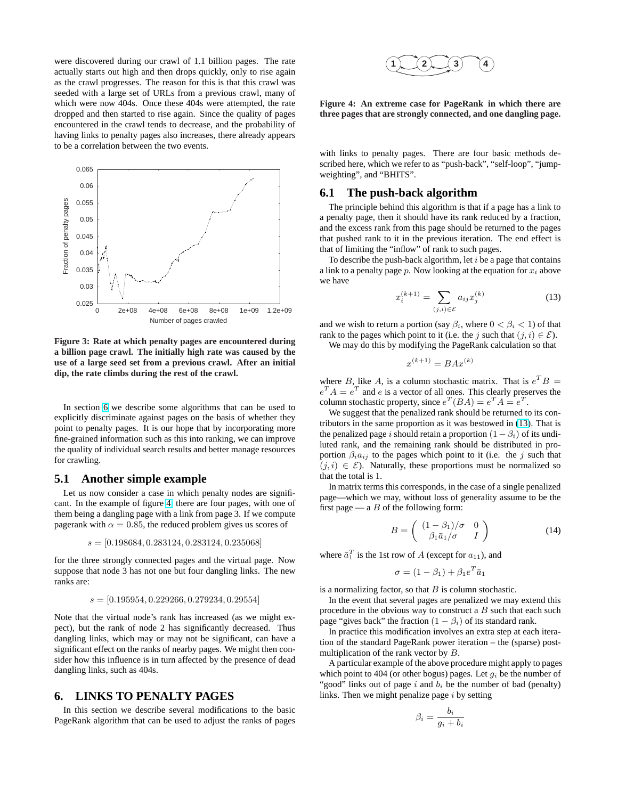<span id="page-4-0"></span>were discovered during our crawl of 1.1 billion pages. The rate actually starts out high and then drops quickly, only to rise again as the crawl progresses. The reason for this is that this crawl was seeded with a large set of URLs from a previous crawl, many of which were now 404s. Once these 404s were attempted, the rate dropped and then started to rise again. Since the quality of pages encountered in the crawl tends to decrease, and the probability of having links to penalty pages also increases, there already appears to be a correlation between the two events.



**Figure 3: Rate at which penalty pages are encountered during a billion page crawl. The initially high rate was caused by the use of a large seed set from a previous crawl. After an initial dip, the rate climbs during the rest of the crawl.**

In section 6 we describe some algorithms that can be used to explicitly discriminate against pages on the basis of whether they point to penalty pages. It is our hope that by incorporating more fine-grained information such as this into ranking, we can improve the quality of individual search results and better manage resources for crawling.

## **5.1 Another simple example**

Let us now consider a case in which penalty nodes are significant. In the example of figure 4, there are four pages, with one of them being a dangling page with a link from page 3. If we compute pagerank with  $\alpha = 0.85$ , the reduced problem gives us scores of

$$
s = [0.198684, 0.283124, 0.283124, 0.235068]
$$

for the three strongly connected pages and the virtual page. Now suppose that node 3 has not one but four dangling links. The new ranks are:

$$
s = [0.195954, 0.229266, 0.279234, 0.29554]
$$

Note that the virtual node's rank has increased (as we might expect), but the rank of node 2 has significantly decreased. Thus dangling links, which may or may not be significant, can have a significant effect on the ranks of nearby pages. We might then consider how this influence is in turn affected by the presence of dead dangling links, such as 404s.

# **6. LINKS TO PENALTY PAGES**

In this section we describe several modifications to the basic PageRank algorithm that can be used to adjust the ranks of pages



**Figure 4: An extreme case for PageRank in which there are three pages that are strongly connected, and one dangling page.**

with links to penalty pages. There are four basic methods described here, which we refer to as "push-back", "self-loop", "jumpweighting", and "BHITS".

#### **6.1 The push-back algorithm**

The principle behind this algorithm is that if a page has a link to a penalty page, then it should have its rank reduced by a fraction, and the excess rank from this page should be returned to the pages that pushed rank to it in the previous iteration. The end effect is that of limiting the "inflow" of rank to such pages.

To describe the push-back algorithm, let  $i$  be a page that contains a link to a penalty page  $p$ . Now looking at the equation for  $x_i$  above we have

$$
x_i^{(k+1)} = \sum_{(j,i) \in \mathcal{E}} a_{ij} x_j^{(k)}
$$
(13)

and we wish to return a portion (say  $\beta_i$ , where  $0 < \beta_i < 1$ ) of that rank to the pages which point to it (i.e. the j such that  $(j, i) \in \mathcal{E}$ ).

We may do this by modifying the PageRank calculation so that

$$
x^{(k+1)} = BA x^{(k)}
$$

where B, like A, is a column stochastic matrix. That is  $e^T B =$  $e^T A = e^T$  and e is a vector of all ones. This clearly preserves the column stochastic property, since  $e^T(BA) = e^T A = e^T$ .

We suggest that the penalized rank should be returned to its contributors in the same proportion as it was bestowed in (13). That is the penalized page i should retain a proportion  $(1 - \beta_i)$  of its undiluted rank, and the remaining rank should be distributed in proportion  $\beta_i a_{ij}$  to the pages which point to it (i.e. the j such that  $(j, i) \in \mathcal{E}$ ). Naturally, these proportions must be normalized so that the total is 1.

In matrix terms this corresponds, in the case of a single penalized page—which we may, without loss of generality assume to be the first page — a  $B$  of the following form:

$$
B = \left(\begin{array}{cc} (1 - \beta_1)/\sigma & 0\\ \beta_1 \bar{a}_1/\sigma & I \end{array}\right) \tag{14}
$$

where  $\bar{a}_1^T$  is the 1st row of A (except for  $a_{11}$ ), and

$$
\sigma = (1 - \beta_1) + \beta_1 e^T \bar{a}_1
$$

is a normalizing factor, so that  $B$  is column stochastic.

In the event that several pages are penalized we may extend this procedure in the obvious way to construct a  $B$  such that each such page "gives back" the fraction  $(1 - \beta_i)$  of its standard rank.

In practice this modification involves an extra step at each iteration of the standard PageRank power iteration – the (sparse) postmultiplication of the rank vector by B.

A particular example of the above procedure might apply to pages which point to 404 (or other bogus) pages. Let  $q_i$  be the number of "good" links out of page i and  $b_i$  be the number of bad (penalty) links. Then we might penalize page  $i$  by setting

$$
\beta_i = \frac{b_i}{g_i + b_i}
$$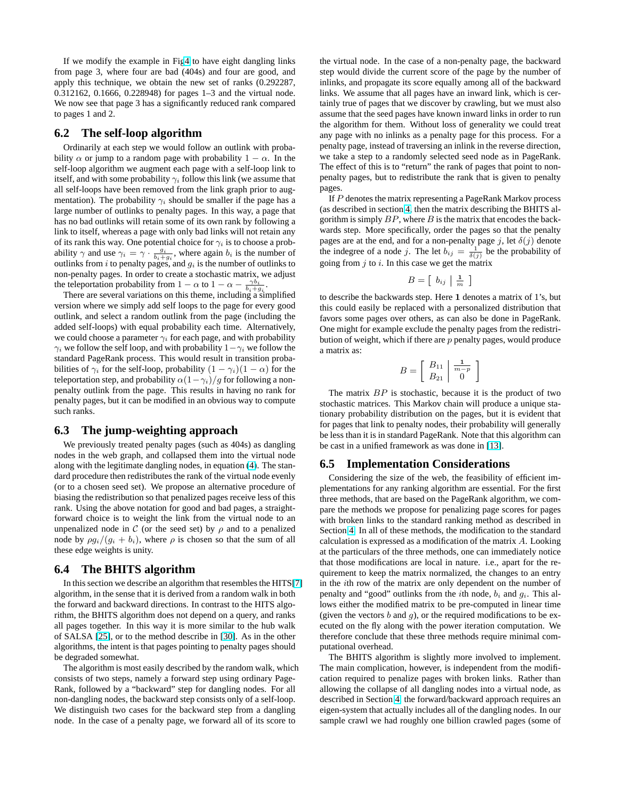If we modify the example in Fi[g4](#page-4-0) to have eight dangling links from page 3, where four are bad (404s) and four are good, and apply this technique, we obtain the new set of ranks (0.292287, 0.312162, 0.1666, 0.228948) for pages 1–3 and the virtual node. We now see that page 3 has a significantly reduced rank compared to pages 1 and 2.

### **6.2 The self-loop algorithm**

Ordinarily at each step we would follow an outlink with probability  $\alpha$  or jump to a random page with probability  $1 - \alpha$ . In the self-loop algorithm we augment each page with a self-loop link to itself, and with some probability  $\gamma_i$  follow this link (we assume that all self-loops have been removed from the link graph prior to augmentation). The probability  $\gamma_i$  should be smaller if the page has a large number of outlinks to penalty pages. In this way, a page that has no bad outlinks will retain some of its own rank by following a link to itself, whereas a page with only bad links will not retain any of its rank this way. One potential choice for  $\gamma_i$  is to choose a probability  $\gamma$  and use  $\gamma_i = \gamma \cdot \frac{g_i}{b_i + g_i}$ , where again  $b_i$  is the number of outlinks from i to penalty pages, and  $g_i$  is the number of outlinks to non-penalty pages. In order to create a stochastic matrix, we adjust the teleportation probability from  $1 - \alpha$  to  $1 - \alpha - \frac{\gamma b_i}{b_i + g_i}$ .

There are several variations on this theme, including a simplified version where we simply add self loops to the page for every good outlink, and select a random outlink from the page (including the added self-loops) with equal probability each time. Alternatively, we could choose a parameter  $\gamma_i$  for each page, and with probability  $\gamma_i$  we follow the self loop, and with probability  $1-\gamma_i$  we follow the standard PageRank process. This would result in transition probabilities of  $\gamma_i$  for the self-loop, probability  $(1 - \gamma_i)(1 - \alpha)$  for the teleportation step, and probability  $\alpha(1-\gamma_i)/g$  for following a nonpenalty outlink from the page. This results in having no rank for penalty pages, but it can be modified in an obvious way to compute such ranks.

# **6.3 The jump-weighting approach**

We previously treated penalty pages (such as 404s) as dangling nodes in the web graph, and collapsed them into the virtual node along with the legitimate dangling nodes, in equation [\(4\)](#page-2-0). The standard procedure then redistributes the rank of the virtual node evenly (or to a chosen seed set). We propose an alternative procedure of biasing the redistribution so that penalized pages receive less of this rank. Using the above notation for good and bad pages, a straightforward choice is to weight the link from the virtual node to an unpenalized node in C (or the seed set) by  $\rho$  and to a penalized node by  $\rho q_i/(q_i + b_i)$ , where  $\rho$  is chosen so that the sum of all these edge weights is unity.

#### **6.4 The BHITS algorithm**

In this section we describe an algorithm that resembles the HITS[\[7\]](#page-9-0) algorithm, in the sense that it is derived from a random walk in both the forward and backward directions. In contrast to the HITS algorithm, the BHITS algorithm does not depend on a query, and ranks all pages together. In this way it is more similar to the hub walk of SALSA [\[25\]](#page-9-0), or to the method describe in [\[30\]](#page-9-0). As in the other algorithms, the intent is that pages pointing to penalty pages should be degraded somewhat.

The algorithm is most easily described by the random walk, which consists of two steps, namely a forward step using ordinary Page-Rank, followed by a "backward" step for dangling nodes. For all non-dangling nodes, the backward step consists only of a self-loop. We distinguish two cases for the backward step from a dangling node. In the case of a penalty page, we forward all of its score to

the virtual node. In the case of a non-penalty page, the backward step would divide the current score of the page by the number of inlinks, and propagate its score equally among all of the backward links. We assume that all pages have an inward link, which is certainly true of pages that we discover by crawling, but we must also assume that the seed pages have known inward links in order to run the algorithm for them. Without loss of generality we could treat any page with no inlinks as a penalty page for this process. For a penalty page, instead of traversing an inlink in the reverse direction, we take a step to a randomly selected seed node as in PageRank. The effect of this is to "return" the rank of pages that point to nonpenalty pages, but to redistribute the rank that is given to penalty pages.

If  $P$  denotes the matrix representing a PageRank Markov process (as described in section [4,](#page-2-0) then the matrix describing the BHITS algorithm is simply  $BP$ , where  $B$  is the matrix that encodes the backwards step. More specifically, order the pages so that the penalty pages are at the end, and for a non-penalty page j, let  $\delta(j)$  denote the indegree of a node j. The let  $b_{ij} = \frac{1}{\delta(j)}$  be the probability of going from  $j$  to  $i$ . In this case we get the matrix

$$
B = \left[ \begin{array}{c|c} b_{ij} & \frac{1}{m} \end{array} \right]
$$

to describe the backwards step. Here 1 denotes a matrix of 1's, but this could easily be replaced with a personalized distribution that favors some pages over others, as can also be done in PageRank. One might for example exclude the penalty pages from the redistribution of weight, which if there are p penalty pages, would produce a matrix as:

$$
B = \left[ \begin{array}{c|c} B_{11} & \frac{1}{m-p} \\ B_{21} & 0 \end{array} \right]
$$

The matrix  $BP$  is stochastic, because it is the product of two stochastic matrices. This Markov chain will produce a unique stationary probability distribution on the pages, but it is evident that for pages that link to penalty nodes, their probability will generally be less than it is in standard PageRank. Note that this algorithm can be cast in a unified framework as was done in [\[13\]](#page-9-0).

#### **6.5 Implementation Considerations**

Considering the size of the web, the feasibility of efficient implementations for any ranking algorithm are essential. For the first three methods, that are based on the PageRank algorithm, we compare the methods we propose for penalizing page scores for pages with broken links to the standard ranking method as described in Section [4.](#page-2-0) In all of these methods, the modification to the standard calculation is expressed as a modification of the matrix A. Looking at the particulars of the three methods, one can immediately notice that those modifications are local in nature. i.e., apart for the requirement to keep the matrix normalized, the changes to an entry in the ith row of the matrix are only dependent on the number of penalty and "good" outlinks from the *i*th node,  $b_i$  and  $q_i$ . This allows either the modified matrix to be pre-computed in linear time (given the vectors  $b$  and  $q$ ), or the required modifications to be executed on the fly along with the power iteration computation. We therefore conclude that these three methods require minimal computational overhead.

The BHITS algorithm is slightly more involved to implement. The main complication, however, is independent from the modification required to penalize pages with broken links. Rather than allowing the collapse of all dangling nodes into a virtual node, as described in Section [4,](#page-2-0) the forward/backward approach requires an eigen-system that actually includes all of the dangling nodes. In our sample crawl we had roughly one billion crawled pages (some of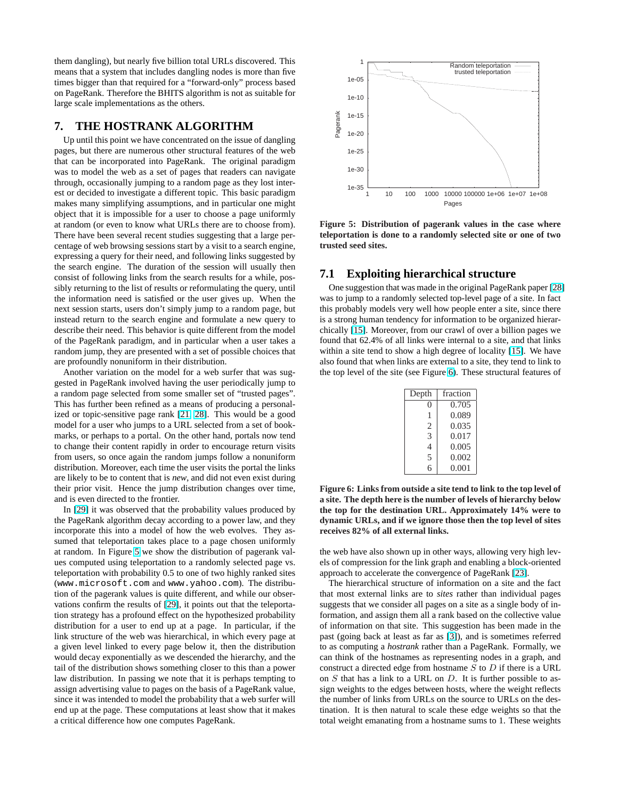<span id="page-6-0"></span>them dangling), but nearly five billion total URLs discovered. This means that a system that includes dangling nodes is more than five times bigger than that required for a "forward-only" process based on PageRank. Therefore the BHITS algorithm is not as suitable for large scale implementations as the others.

## **7. THE HOSTRANK ALGORITHM**

Up until this point we have concentrated on the issue of dangling pages, but there are numerous other structural features of the web that can be incorporated into PageRank. The original paradigm was to model the web as a set of pages that readers can navigate through, occasionally jumping to a random page as they lost interest or decided to investigate a different topic. This basic paradigm makes many simplifying assumptions, and in particular one might object that it is impossible for a user to choose a page uniformly at random (or even to know what URLs there are to choose from). There have been several recent studies suggesting that a large percentage of web browsing sessions start by a visit to a search engine, expressing a query for their need, and following links suggested by the search engine. The duration of the session will usually then consist of following links from the search results for a while, possibly returning to the list of results or reformulating the query, until the information need is satisfied or the user gives up. When the next session starts, users don't simply jump to a random page, but instead return to the search engine and formulate a new query to describe their need. This behavior is quite different from the model of the PageRank paradigm, and in particular when a user takes a random jump, they are presented with a set of possible choices that are profoundly nonuniform in their distribution.

Another variation on the model for a web surfer that was suggested in PageRank involved having the user periodically jump to a random page selected from some smaller set of "trusted pages". This has further been refined as a means of producing a personalized or topic-sensitive page rank [\[21,](#page-9-0) [28\]](#page-9-0). This would be a good model for a user who jumps to a URL selected from a set of bookmarks, or perhaps to a portal. On the other hand, portals now tend to change their content rapidly in order to encourage return visits from users, so once again the random jumps follow a nonuniform distribution. Moreover, each time the user visits the portal the links are likely to be to content that is *new*, and did not even exist during their prior visit. Hence the jump distribution changes over time, and is even directed to the frontier.

In [\[29\]](#page-9-0) it was observed that the probability values produced by the PageRank algorithm decay according to a power law, and they incorporate this into a model of how the web evolves. They assumed that teleportation takes place to a page chosen uniformly at random. In Figure 5 we show the distribution of pagerank values computed using teleportation to a randomly selected page vs. teleportation with probability 0.5 to one of two highly ranked sites (www.microsoft.com and www.yahoo.com). The distribution of the pagerank values is quite different, and while our observations confirm the results of [\[29\]](#page-9-0), it points out that the teleportation strategy has a profound effect on the hypothesized probability distribution for a user to end up at a page. In particular, if the link structure of the web was hierarchical, in which every page at a given level linked to every page below it, then the distribution would decay exponentially as we descended the hierarchy, and the tail of the distribution shows something closer to this than a power law distribution. In passing we note that it is perhaps tempting to assign advertising value to pages on the basis of a PageRank value, since it was intended to model the probability that a web surfer will end up at the page. These computations at least show that it makes a critical difference how one computes PageRank.



**Figure 5: Distribution of pagerank values in the case where teleportation is done to a randomly selected site or one of two trusted seed sites.**

#### **7.1 Exploiting hierarchical structure**

One suggestion that was made in the original PageRank paper [\[28\]](#page-9-0) was to jump to a randomly selected top-level page of a site. In fact this probably models very well how people enter a site, since there is a strong human tendency for information to be organized hierarchically [\[15\]](#page-9-0). Moreover, from our crawl of over a billion pages we found that 62.4% of all links were internal to a site, and that links within a site tend to show a high degree of locality [\[15\]](#page-9-0). We have also found that when links are external to a site, they tend to link to the top level of the site (see Figure 6). These structural features of

| Depth | fraction |
|-------|----------|
| O)    | 0.705    |
| 1     | 0.089    |
| 2     | 0.035    |
| 3     | 0.017    |
| 4     | 0.005    |
| 5     | 0.002    |
|       | 0.001    |

**Figure 6: Links from outside a site tend to link to the top level of a site. The depth here is the number of levels of hierarchy below the top for the destination URL. Approximately 14% were to dynamic URLs, and if we ignore those then the top level of sites receives 82% of all external links.**

the web have also shown up in other ways, allowing very high levels of compression for the link graph and enabling a block-oriented approach to accelerate the convergence of PageRank [\[23\]](#page-9-0).

The hierarchical structure of information on a site and the fact that most external links are to *sites* rather than individual pages suggests that we consider all pages on a site as a single body of information, and assign them all a rank based on the collective value of information on that site. This suggestion has been made in the past (going back at least as far as [\[3\]](#page-9-0)), and is sometimes referred to as computing a *hostrank* rather than a PageRank. Formally, we can think of the hostnames as representing nodes in a graph, and construct a directed edge from hostname  $S$  to  $D$  if there is a URL on  $S$  that has a link to a URL on  $D$ . It is further possible to assign weights to the edges between hosts, where the weight reflects the number of links from URLs on the source to URLs on the destination. It is then natural to scale these edge weights so that the total weight emanating from a hostname sums to 1. These weights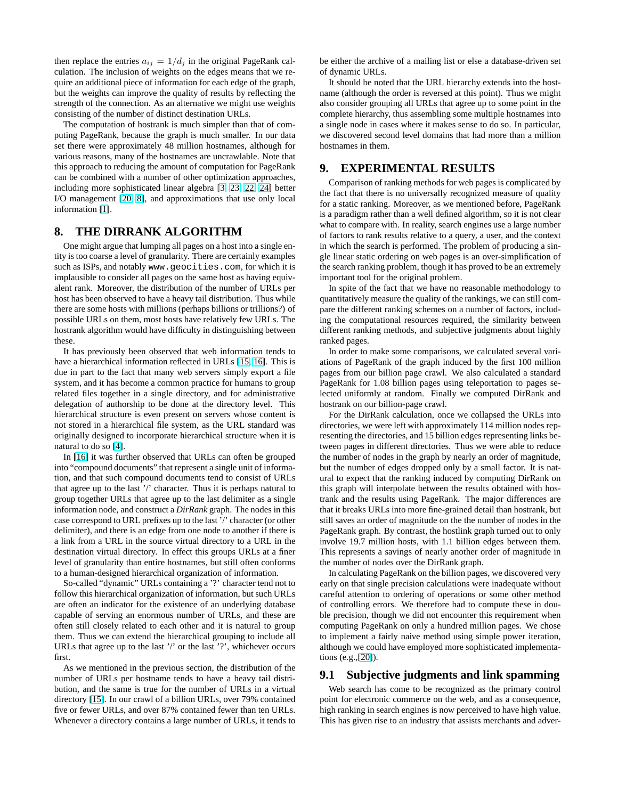<span id="page-7-0"></span>then replace the entries  $a_{ij} = 1/d_j$  in the original PageRank calculation. The inclusion of weights on the edges means that we require an additional piece of information for each edge of the graph, but the weights can improve the quality of results by reflecting the strength of the connection. As an alternative we might use weights consisting of the number of distinct destination URLs.

The computation of hostrank is much simpler than that of computing PageRank, because the graph is much smaller. In our data set there were approximately 48 million hostnames, although for various reasons, many of the hostnames are uncrawlable. Note that this approach to reducing the amount of computation for PageRank can be combined with a number of other optimization approaches, including more sophisticated linear algebra [\[3,](#page-9-0) [23,](#page-9-0) [22,](#page-9-0) [24\]](#page-9-0) better I/O management [\[20,](#page-9-0) [8\]](#page-9-0), and approximations that use only local information [\[1\]](#page-9-0).

# **8. THE DIRRANK ALGORITHM**

One might argue that lumping all pages on a host into a single entity is too coarse a level of granularity. There are certainly examples such as ISPs, and notably www.geocities.com, for which it is implausible to consider all pages on the same host as having equivalent rank. Moreover, the distribution of the number of URLs per host has been observed to have a heavy tail distribution. Thus while there are some hosts with millions (perhaps billions or trillions?) of possible URLs on them, most hosts have relatively few URLs. The hostrank algorithm would have difficulty in distinguishing between these.

It has previously been observed that web information tends to have a hierarchical information reflected in URLs [\[15,](#page-9-0) [16\]](#page-9-0). This is due in part to the fact that many web servers simply export a file system, and it has become a common practice for humans to group related files together in a single directory, and for administrative delegation of authorship to be done at the directory level. This hierarchical structure is even present on servers whose content is not stored in a hierarchical file system, as the URL standard was originally designed to incorporate hierarchical structure when it is natural to do so [\[4\]](#page-9-0).

In [\[16\]](#page-9-0) it was further observed that URLs can often be grouped into "compound documents" that represent a single unit of information, and that such compound documents tend to consist of URLs that agree up to the last '/' character. Thus it is perhaps natural to group together URLs that agree up to the last delimiter as a single information node, and construct a *DirRank* graph. The nodes in this case correspond to URL prefixes up to the last '/' character (or other delimiter), and there is an edge from one node to another if there is a link from a URL in the source virtual directory to a URL in the destination virtual directory. In effect this groups URLs at a finer level of granularity than entire hostnames, but still often conforms to a human-designed hierarchical organization of information.

So-called "dynamic" URLs containing a '?' character tend not to follow this hierarchical organization of information, but such URLs are often an indicator for the existence of an underlying database capable of serving an enormous number of URLs, and these are often still closely related to each other and it is natural to group them. Thus we can extend the hierarchical grouping to include all URLs that agree up to the last '/' or the last '?', whichever occurs first.

As we mentioned in the previous section, the distribution of the number of URLs per hostname tends to have a heavy tail distribution, and the same is true for the number of URLs in a virtual directory [\[15\]](#page-9-0). In our crawl of a billion URLs, over 79% contained five or fewer URLs, and over 87% contained fewer than ten URLs. Whenever a directory contains a large number of URLs, it tends to

be either the archive of a mailing list or else a database-driven set of dynamic URLs.

It should be noted that the URL hierarchy extends into the hostname (although the order is reversed at this point). Thus we might also consider grouping all URLs that agree up to some point in the complete hierarchy, thus assembling some multiple hostnames into a single node in cases where it makes sense to do so. In particular, we discovered second level domains that had more than a million hostnames in them.

## **9. EXPERIMENTAL RESULTS**

Comparison of ranking methods for web pages is complicated by the fact that there is no universally recognized measure of quality for a static ranking. Moreover, as we mentioned before, PageRank is a paradigm rather than a well defined algorithm, so it is not clear what to compare with. In reality, search engines use a large number of factors to rank results relative to a query, a user, and the context in which the search is performed. The problem of producing a single linear static ordering on web pages is an over-simplification of the search ranking problem, though it has proved to be an extremely important tool for the original problem.

In spite of the fact that we have no reasonable methodology to quantitatively measure the quality of the rankings, we can still compare the different ranking schemes on a number of factors, including the computational resources required, the similarity between different ranking methods, and subjective judgments about highly ranked pages.

In order to make some comparisons, we calculated several variations of PageRank of the graph induced by the first 100 million pages from our billion page crawl. We also calculated a standard PageRank for 1.08 billion pages using teleportation to pages selected uniformly at random. Finally we computed DirRank and hostrank on our billion-page crawl.

For the DirRank calculation, once we collapsed the URLs into directories, we were left with approximately 114 million nodes representing the directories, and 15 billion edges representing links between pages in different directories. Thus we were able to reduce the number of nodes in the graph by nearly an order of magnitude, but the number of edges dropped only by a small factor. It is natural to expect that the ranking induced by computing DirRank on this graph will interpolate between the results obtained with hostrank and the results using PageRank. The major differences are that it breaks URLs into more fine-grained detail than hostrank, but still saves an order of magnitude on the the number of nodes in the PageRank graph. By contrast, the hostlink graph turned out to only involve 19.7 million hosts, with 1.1 billion edges between them. This represents a savings of nearly another order of magnitude in the number of nodes over the DirRank graph.

In calculating PageRank on the billion pages, we discovered very early on that single precision calculations were inadequate without careful attention to ordering of operations or some other method of controlling errors. We therefore had to compute these in double precision, though we did not encounter this requirement when computing PageRank on only a hundred million pages. We chose to implement a fairly naive method using simple power iteration, although we could have employed more sophisticated implementations (e.g.,[\[20\]](#page-9-0)).

# **9.1 Subjective judgments and link spamming**

Web search has come to be recognized as the primary control point for electronic commerce on the web, and as a consequence, high ranking in search engines is now perceived to have high value. This has given rise to an industry that assists merchants and adver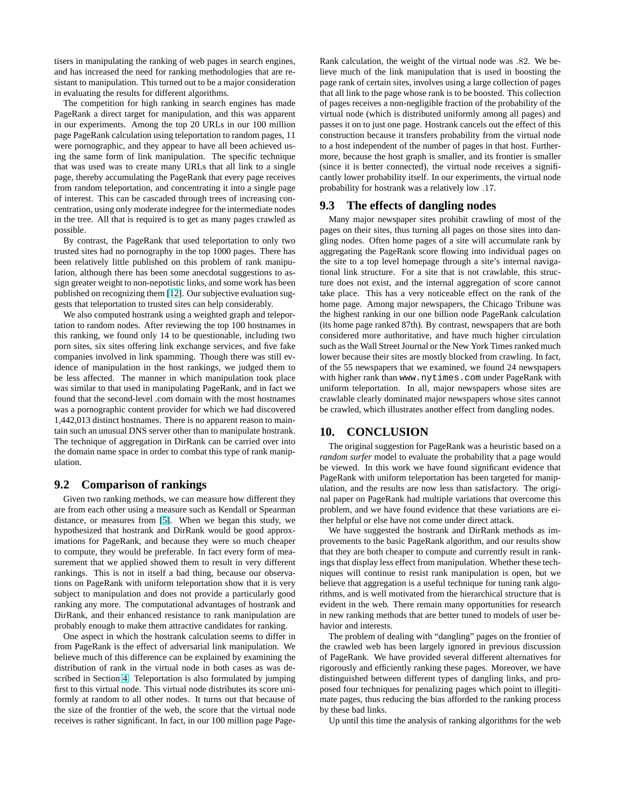tisers in manipulating the ranking of web pages in search engines, and has increased the need for ranking methodologies that are resistant to manipulation. This turned out to be a major consideration in evaluating the results for different algorithms.

The competition for high ranking in search engines has made PageRank a direct target for manipulation, and this was apparent in our experiments. Among the top 20 URLs in our 100 million page PageRank calculation using teleportation to random pages, 11 were pornographic, and they appear to have all been achieved using the same form of link manipulation. The specific technique that was used was to create many URLs that all link to a single page, thereby accumulating the PageRank that every page receives from random teleportation, and concentrating it into a single page of interest. This can be cascaded through trees of increasing concentration, using only moderate indegree for the intermediate nodes in the tree. All that is required is to get as many pages crawled as possible.

By contrast, the PageRank that used teleportation to only two trusted sites had no pornography in the top 1000 pages. There has been relatively little published on this problem of rank manipulation, although there has been some anecdotal suggestions to assign greater weight to non-nepotistic links, and some work has been published on recognizing them [\[12\]](#page-9-0). Our subjective evaluation suggests that teleportation to trusted sites can help considerably.

We also computed hostrank using a weighted graph and teleportation to random nodes. After reviewing the top 100 hostnames in this ranking, we found only 14 to be questionable, including two porn sites, six sites offering link exchange services, and five fake companies involved in link spamming. Though there was still evidence of manipulation in the host rankings, we judged them to be less affected. The manner in which manipulation took place was similar to that used in manipulating PageRank, and in fact we found that the second-level .com domain with the most hostnames was a pornographic content provider for which we had discovered 1,442,013 distinct hostnames. There is no apparent reason to maintain such an unusual DNS server other than to manipulate hostrank. The technique of aggregation in DirRank can be carried over into the domain name space in order to combat this type of rank manipulation.

#### **9.2 Comparison of rankings**

Given two ranking methods, we can measure how different they are from each other using a measure such as Kendall or Spearman distance, or measures from [\[5\]](#page-9-0). When we began this study, we hypothesized that hostrank and DirRank would be good approximations for PageRank, and because they were so much cheaper to compute, they would be preferable. In fact every form of measurement that we applied showed them to result in very different rankings. This is not in itself a bad thing, because our observations on PageRank with uniform teleportation show that it is very subject to manipulation and does not provide a particularly good ranking any more. The computational advantages of hostrank and DirRank, and their enhanced resistance to rank manipulation are probably enough to make them attractive candidates for ranking.

One aspect in which the hostrank calculation seems to differ in from PageRank is the effect of adversarial link manipulation. We believe much of this difference can be explained by examining the distribution of rank in the virtual node in both cases as was described in Section [4.](#page-2-0) Teleportation is also formulated by jumping first to this virtual node. This virtual node distributes its score uniformly at random to all other nodes. It turns out that because of the size of the frontier of the web, the score that the virtual node receives is rather significant. In fact, in our 100 million page PageRank calculation, the weight of the virtual node was .82. We believe much of the link manipulation that is used in boosting the page rank of certain sites, involves using a large collection of pages that all link to the page whose rank is to be boosted. This collection of pages receives a non-negligible fraction of the probability of the virtual node (which is distributed uniformly among all pages) and passes it on to just one page. Hostrank cancels out the effect of this construction because it transfers probability from the virtual node to a host independent of the number of pages in that host. Furthermore, because the host graph is smaller, and its frontier is smaller (since it is better connected), the virtual node receives a significantly lower probability itself. In our experiments, the virtual node probability for hostrank was a relatively low .17.

#### **9.3 The effects of dangling nodes**

Many major newspaper sites prohibit crawling of most of the pages on their sites, thus turning all pages on those sites into dangling nodes. Often home pages of a site will accumulate rank by aggregating the PageRank score flowing into individual pages on the site to a top level homepage through a site's internal navigational link structure. For a site that is not crawlable, this structure does not exist, and the internal aggregation of score cannot take place. This has a very noticeable effect on the rank of the home page. Among major newspapers, the Chicago Tribune was the highest ranking in our one billion node PageRank calculation (its home page ranked 87th). By contrast, newspapers that are both considered more authoritative, and have much higher circulation such as the Wall Street Journal or the New York Times ranked much lower because their sites are mostly blocked from crawling. In fact, of the 55 newspapers that we examined, we found 24 newspapers with higher rank than www.nytimes.com under PageRank with uniform teleportation. In all, major newspapers whose sites are crawlable clearly dominated major newspapers whose sites cannot be crawled, which illustrates another effect from dangling nodes.

# **10. CONCLUSION**

The original suggestion for PageRank was a heuristic based on a *random surfer* model to evaluate the probability that a page would be viewed. In this work we have found significant evidence that PageRank with uniform teleportation has been targeted for manipulation, and the results are now less than satisfactory. The original paper on PageRank had multiple variations that overcome this problem, and we have found evidence that these variations are either helpful or else have not come under direct attack.

We have suggested the hostrank and DirRank methods as improvements to the basic PageRank algorithm, and our results show that they are both cheaper to compute and currently result in rankings that display less effect from manipulation. Whether these techniques will continue to resist rank manipulation is open, but we believe that aggregation is a useful technique for tuning rank algorithms, and is well motivated from the hierarchical structure that is evident in the web. There remain many opportunities for research in new ranking methods that are better tuned to models of user behavior and interests.

The problem of dealing with "dangling" pages on the frontier of the crawled web has been largely ignored in previous discussion of PageRank. We have provided several different alternatives for rigorously and efficiently ranking these pages. Moreover, we have distinguished between different types of dangling links, and proposed four techniques for penalizing pages which point to illegitimate pages, thus reducing the bias afforded to the ranking process by these bad links.

Up until this time the analysis of ranking algorithms for the web